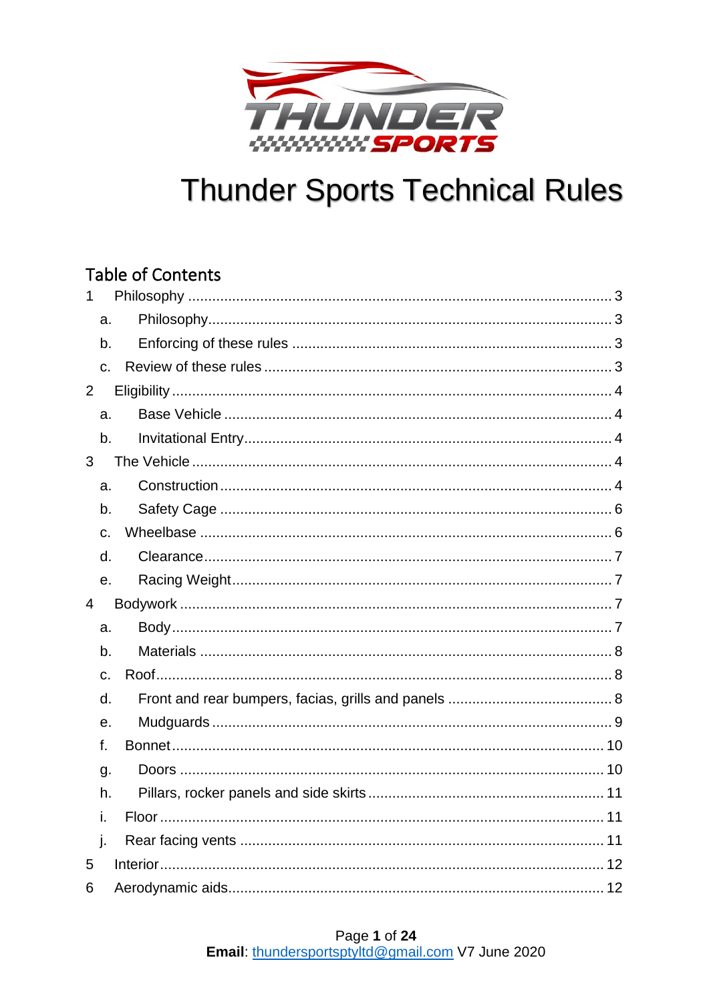

## **Table of Contents**

| $\mathbf{1}$   |             |  |  |  |
|----------------|-------------|--|--|--|
|                | a.          |  |  |  |
|                | b.          |  |  |  |
|                | $C_{\cdot}$ |  |  |  |
| $\overline{2}$ |             |  |  |  |
|                | a.          |  |  |  |
|                | b.          |  |  |  |
| 3              |             |  |  |  |
|                | a.          |  |  |  |
|                | b.          |  |  |  |
|                | c.          |  |  |  |
|                | d.          |  |  |  |
|                | e.          |  |  |  |
| $\overline{4}$ |             |  |  |  |
|                |             |  |  |  |
|                | a.          |  |  |  |
|                | b.          |  |  |  |
|                | $C_{\cdot}$ |  |  |  |
|                | d.          |  |  |  |
|                | е.          |  |  |  |
|                | f.          |  |  |  |
|                | g.          |  |  |  |
|                | h.          |  |  |  |
|                | İ.          |  |  |  |
|                | j.          |  |  |  |
| 5              |             |  |  |  |

## Page 1 of 24

Email: thundersportsptyltd@gmail.com V7 June 2020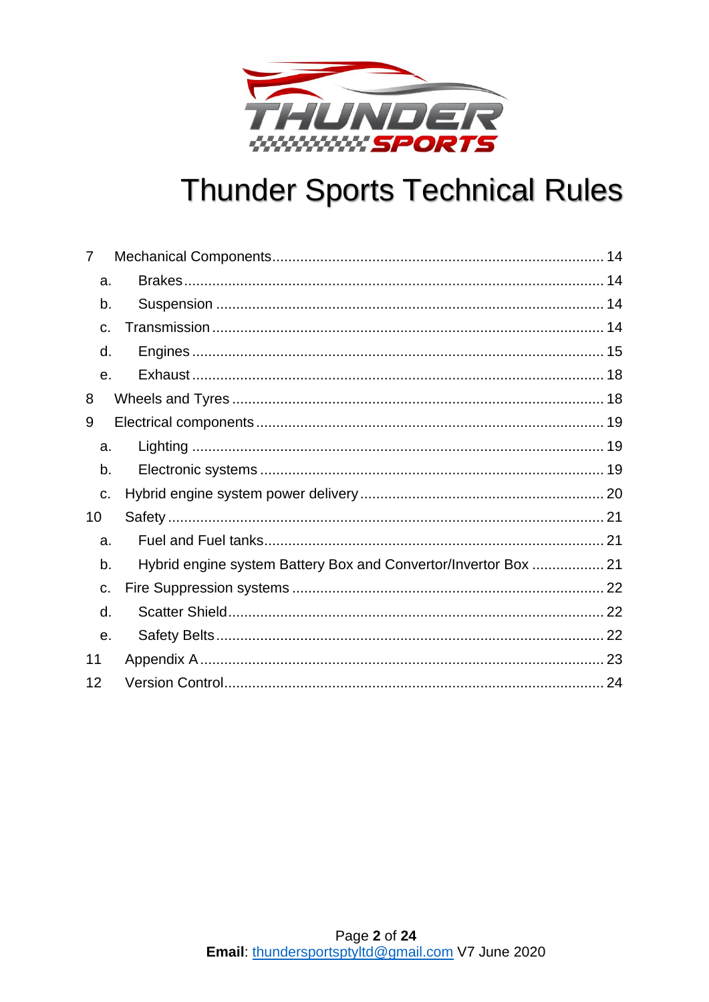

| 7              |                                                                 |  |
|----------------|-----------------------------------------------------------------|--|
| a.             |                                                                 |  |
| b.             |                                                                 |  |
| $\mathbf{C}$ . |                                                                 |  |
| d.             |                                                                 |  |
| $\mathbf{e}$ . |                                                                 |  |
| 8              |                                                                 |  |
| 9              |                                                                 |  |
| a.             |                                                                 |  |
| b.             |                                                                 |  |
| c.             |                                                                 |  |
| 10             |                                                                 |  |
| a.             |                                                                 |  |
| b.             | Hybrid engine system Battery Box and Convertor/Invertor Box  21 |  |
| C.             |                                                                 |  |
| d.             |                                                                 |  |
| e.             |                                                                 |  |
| 11             |                                                                 |  |
| 12             |                                                                 |  |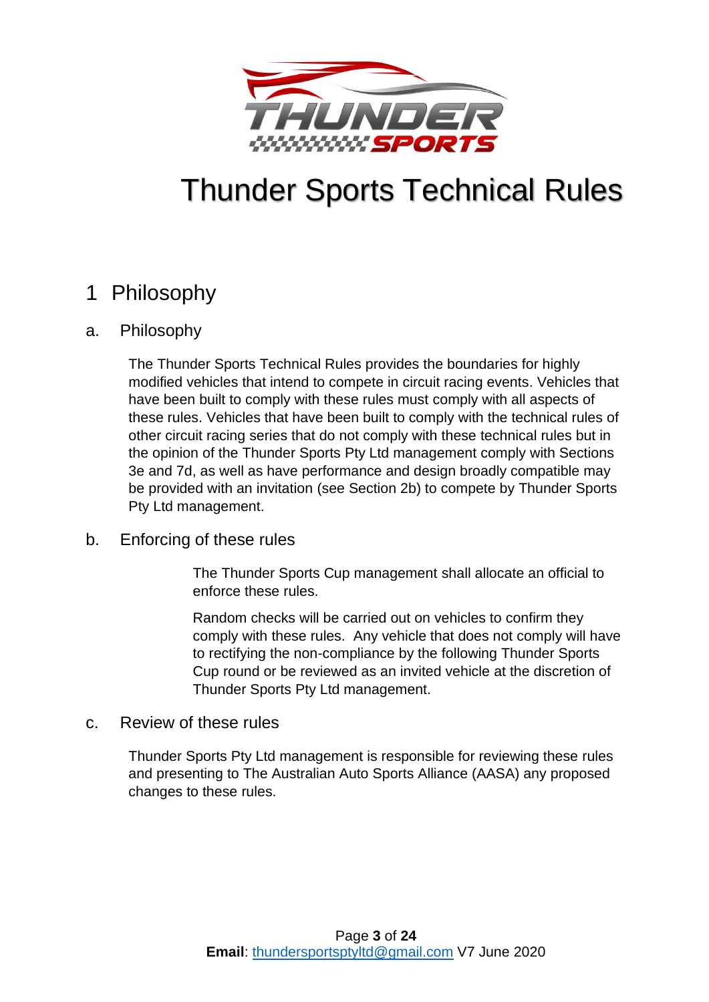

## <span id="page-2-0"></span>1 Philosophy

## <span id="page-2-1"></span>a. Philosophy

The Thunder Sports Technical Rules provides the boundaries for highly modified vehicles that intend to compete in circuit racing events. Vehicles that have been built to comply with these rules must comply with all aspects of these rules. Vehicles that have been built to comply with the technical rules of other circuit racing series that do not comply with these technical rules but in the opinion of the Thunder Sports Pty Ltd management comply with Sections 3e and [7d,](#page-14-0) as well as have performance and design broadly compatible may be provided with an invitation (see Section [2b\)](#page-3-2) to compete by Thunder Sports Pty Ltd management.

## <span id="page-2-2"></span>b. Enforcing of these rules

The Thunder Sports Cup management shall allocate an official to enforce these rules.

Random checks will be carried out on vehicles to confirm they comply with these rules. Any vehicle that does not comply will have to rectifying the non-compliance by the following Thunder Sports Cup round or be reviewed as an invited vehicle at the discretion of Thunder Sports Pty Ltd management.

### <span id="page-2-3"></span>c. Review of these rules

Thunder Sports Pty Ltd management is responsible for reviewing these rules and presenting to The Australian Auto Sports Alliance (AASA) any proposed changes to these rules.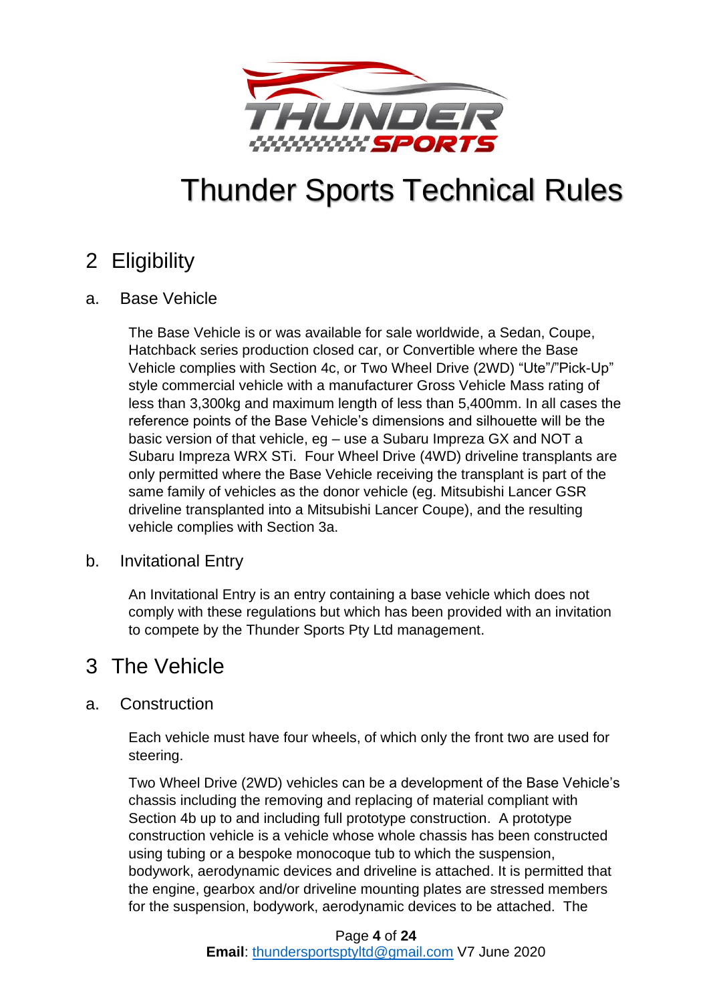

## <span id="page-3-0"></span>2 Eligibility

## <span id="page-3-1"></span>a. Base Vehicle

The Base Vehicle is or was available for sale worldwide, a Sedan, Coupe, Hatchback series production closed car, or Convertible where the Base Vehicle complies with Section [4c,](#page-7-1) or Two Wheel Drive (2WD) "Ute"/"Pick-Up" style commercial vehicle with a manufacturer Gross Vehicle Mass rating of less than 3,300kg and maximum length of less than 5,400mm. In all cases the reference points of the Base Vehicle's dimensions and silhouette will be the basic version of that vehicle, eg – use a Subaru Impreza GX and NOT a Subaru Impreza WRX STi. Four Wheel Drive (4WD) driveline transplants are only permitted where the Base Vehicle receiving the transplant is part of the same family of vehicles as the donor vehicle (eg. Mitsubishi Lancer GSR driveline transplanted into a Mitsubishi Lancer Coupe), and the resulting vehicle complies with Section [3a.](#page-3-4)

## <span id="page-3-2"></span>b. Invitational Entry

An Invitational Entry is an entry containing a base vehicle which does not comply with these regulations but which has been provided with an invitation to compete by the Thunder Sports Pty Ltd management.

## <span id="page-3-3"></span>3 The Vehicle

## <span id="page-3-4"></span>a. Construction

Each vehicle must have four wheels, of which only the front two are used for steering.

Two Wheel Drive (2WD) vehicles can be a development of the Base Vehicle's chassis including the removing and replacing of material compliant with Section [4b](#page-7-0) up to and including full prototype construction. A prototype construction vehicle is a vehicle whose whole chassis has been constructed using tubing or a bespoke monocoque tub to which the suspension, bodywork, aerodynamic devices and driveline is attached. It is permitted that the engine, gearbox and/or driveline mounting plates are stressed members for the suspension, bodywork, aerodynamic devices to be attached. The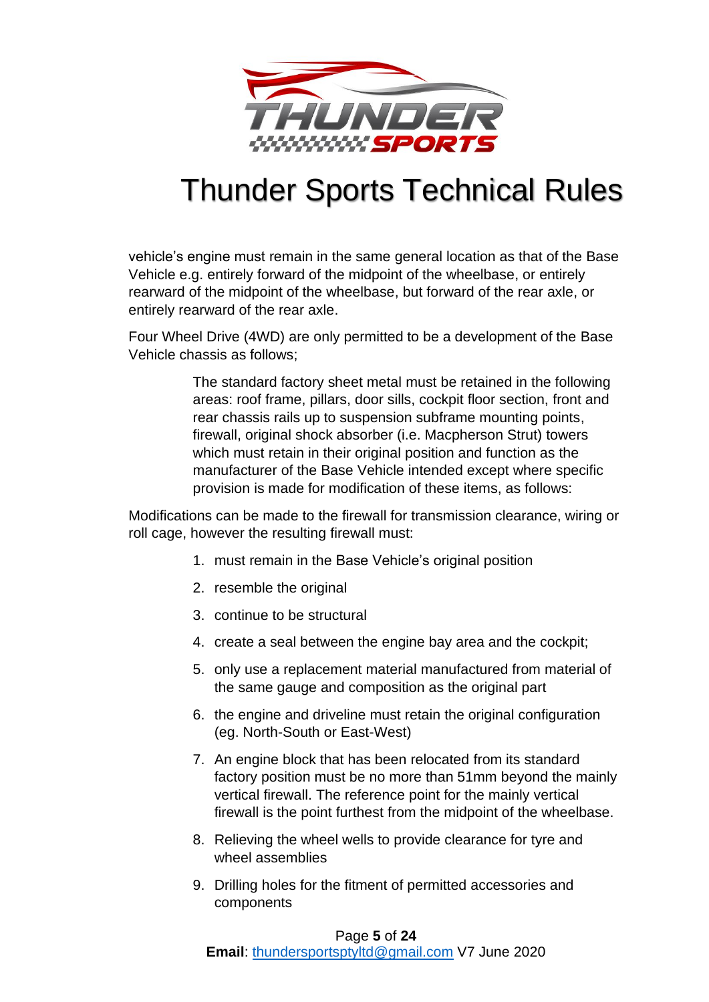

vehicle's engine must remain in the same general location as that of the Base Vehicle e.g. entirely forward of the midpoint of the wheelbase, or entirely rearward of the midpoint of the wheelbase, but forward of the rear axle, or entirely rearward of the rear axle.

Four Wheel Drive (4WD) are only permitted to be a development of the Base Vehicle chassis as follows;

> The standard factory sheet metal must be retained in the following areas: roof frame, pillars, door sills, cockpit floor section, front and rear chassis rails up to suspension subframe mounting points, firewall, original shock absorber (i.e. Macpherson Strut) towers which must retain in their original position and function as the manufacturer of the Base Vehicle intended except where specific provision is made for modification of these items, as follows:

Modifications can be made to the firewall for transmission clearance, wiring or roll cage, however the resulting firewall must:

- 1. must remain in the Base Vehicle's original position
- 2. resemble the original
- 3. continue to be structural
- 4. create a seal between the engine bay area and the cockpit;
- 5. only use a replacement material manufactured from material of the same gauge and composition as the original part
- 6. the engine and driveline must retain the original configuration (eg. North-South or East-West)
- 7. An engine block that has been relocated from its standard factory position must be no more than 51mm beyond the mainly vertical firewall. The reference point for the mainly vertical firewall is the point furthest from the midpoint of the wheelbase.
- 8. Relieving the wheel wells to provide clearance for tyre and wheel assemblies
- 9. Drilling holes for the fitment of permitted accessories and components

#### Page **5** of **24**

**Email**: [thundersportsptyltd@gmail.com](mailto:thundersportsptyltd@gmail.com) V7 June 2020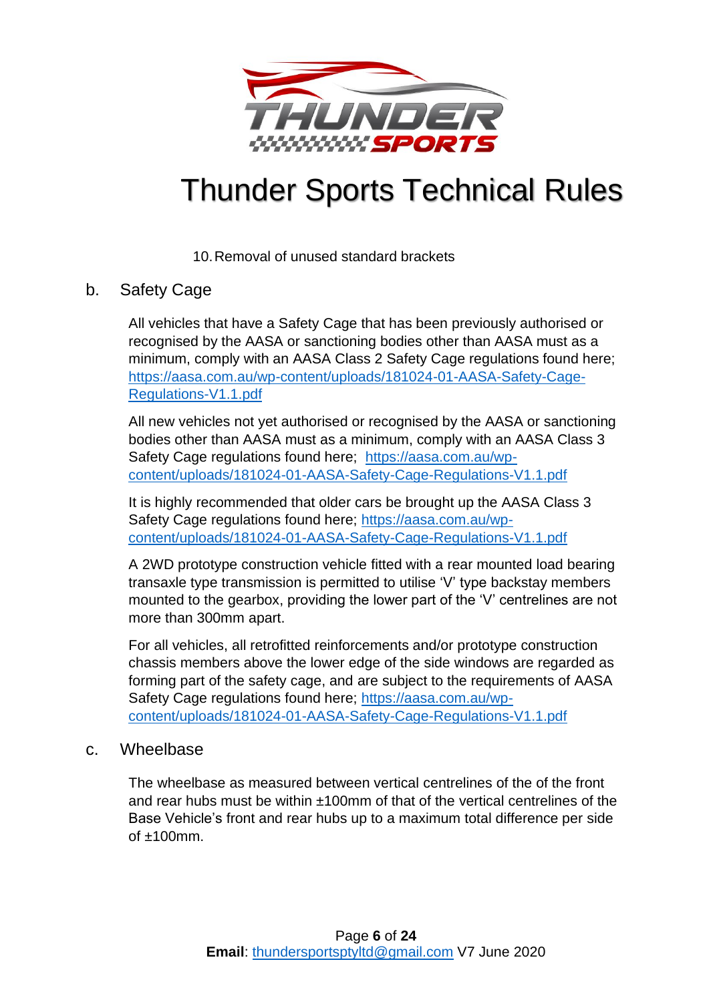

10.Removal of unused standard brackets

## <span id="page-5-0"></span>b. Safety Cage

All vehicles that have a Safety Cage that has been previously authorised or recognised by the AASA or sanctioning bodies other than AASA must as a minimum, comply with an AASA Class 2 Safety Cage regulations found here; [https://aasa.com.au/wp-content/uploads/181024-01-AASA-Safety-Cage-](https://aasa.com.au/wp-content/uploads/181024-01-AASA-Safety-Cage-Regulations-V1.1.pdf)[Regulations-V1.1.pdf](https://aasa.com.au/wp-content/uploads/181024-01-AASA-Safety-Cage-Regulations-V1.1.pdf)

All new vehicles not yet authorised or recognised by the AASA or sanctioning bodies other than AASA must as a minimum, comply with an AASA Class 3 Safety Cage regulations found here; [https://aasa.com.au/wp](https://aasa.com.au/wp-content/uploads/181024-01-AASA-Safety-Cage-Regulations-V1.1.pdf)[content/uploads/181024-01-AASA-Safety-Cage-Regulations-V1.1.pdf](https://aasa.com.au/wp-content/uploads/181024-01-AASA-Safety-Cage-Regulations-V1.1.pdf)

It is highly recommended that older cars be brought up the AASA Class 3 Safety Cage regulations found here; [https://aasa.com.au/wp](https://aasa.com.au/wp-content/uploads/181024-01-AASA-Safety-Cage-Regulations-V1.1.pdf)[content/uploads/181024-01-AASA-Safety-Cage-Regulations-V1.1.pdf](https://aasa.com.au/wp-content/uploads/181024-01-AASA-Safety-Cage-Regulations-V1.1.pdf) 

A 2WD prototype construction vehicle fitted with a rear mounted load bearing transaxle type transmission is permitted to utilise 'V' type backstay members mounted to the gearbox, providing the lower part of the 'V' centrelines are not more than 300mm apart.

For all vehicles, all retrofitted reinforcements and/or prototype construction chassis members above the lower edge of the side windows are regarded as forming part of the safety cage, and are subject to the requirements of AASA Safety Cage regulations found here; [https://aasa.com.au/wp](https://aasa.com.au/wp-content/uploads/181024-01-AASA-Safety-Cage-Regulations-V1.1.pdf)[content/uploads/181024-01-AASA-Safety-Cage-Regulations-V1.1.pdf](https://aasa.com.au/wp-content/uploads/181024-01-AASA-Safety-Cage-Regulations-V1.1.pdf) 

### <span id="page-5-1"></span>c. Wheelbase

The wheelbase as measured between vertical centrelines of the of the front and rear hubs must be within ±100mm of that of the vertical centrelines of the Base Vehicle's front and rear hubs up to a maximum total difference per side  $of +100$ mm.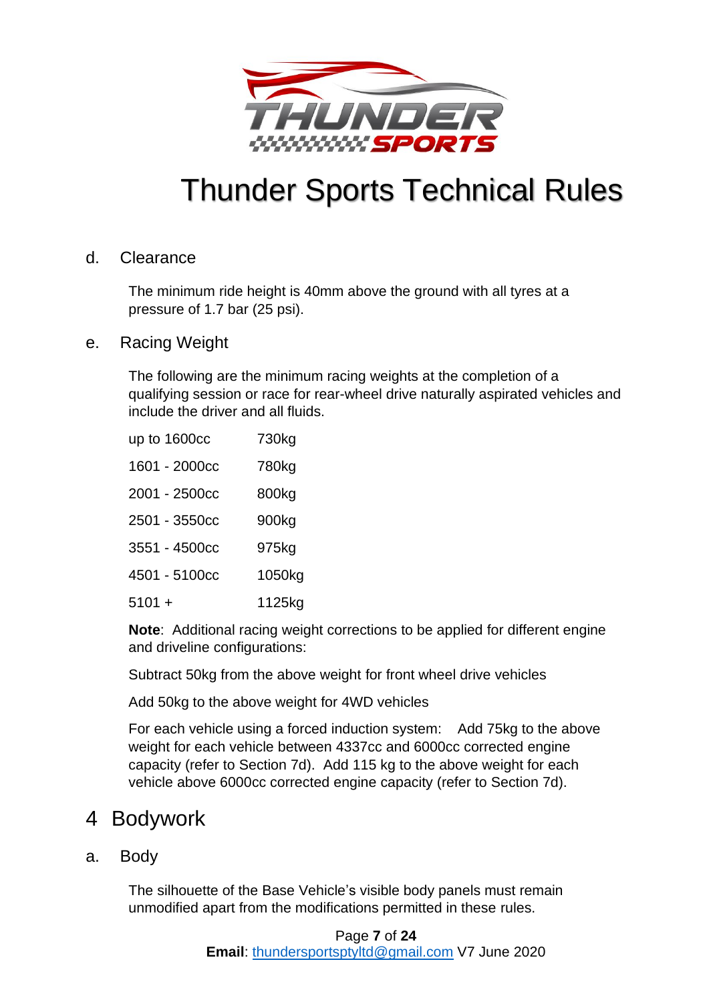

### <span id="page-6-0"></span>d. Clearance

The minimum ride height is 40mm above the ground with all tyres at a pressure of 1.7 bar (25 psi).

<span id="page-6-1"></span>e. Racing Weight

The following are the minimum racing weights at the completion of a qualifying session or race for rear-wheel drive naturally aspirated vehicles and include the driver and all fluids.

| up to 1600cc  | 730kg  |
|---------------|--------|
| 1601 - 2000cc | 780kg  |
| 2001 - 2500cc | 800kg  |
| 2501 - 3550cc | 900kg  |
| 3551 - 4500cc | 975kg  |
| 4501 - 5100cc | 1050kg |
| 5101 +        | 1125kg |

**Note**: Additional racing weight corrections to be applied for different engine and driveline configurations:

Subtract 50kg from the above weight for front wheel drive vehicles

Add 50kg to the above weight for 4WD vehicles

For each vehicle using a forced induction system: Add 75kg to the above weight for each vehicle between 4337cc and 6000cc corrected engine capacity (refer to Section [7d\)](#page-14-0). Add 115 kg to the above weight for each vehicle above 6000cc corrected engine capacity (refer to Section [7d\)](#page-14-0).

## <span id="page-6-2"></span>4 Bodywork

<span id="page-6-3"></span>a. Body

The silhouette of the Base Vehicle's visible body panels must remain unmodified apart from the modifications permitted in these rules.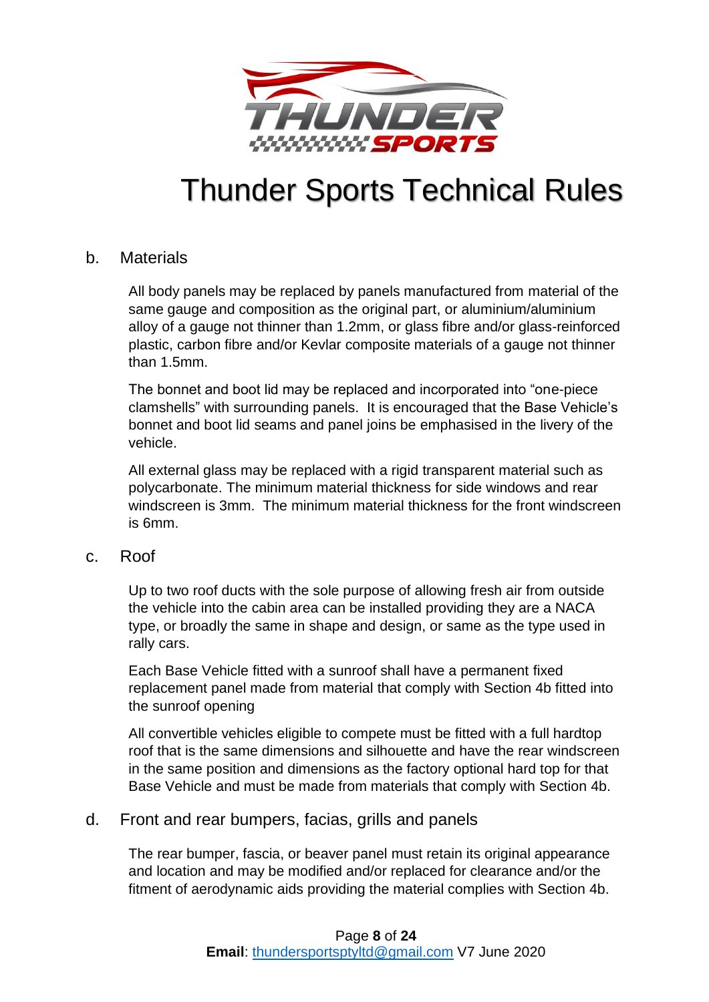

### <span id="page-7-0"></span>b. Materials

All body panels may be replaced by panels manufactured from material of the same gauge and composition as the original part, or aluminium/aluminium alloy of a gauge not thinner than 1.2mm, or glass fibre and/or glass-reinforced plastic, carbon fibre and/or Kevlar composite materials of a gauge not thinner than 1.5mm.

The bonnet and boot lid may be replaced and incorporated into "one-piece clamshells" with surrounding panels. It is encouraged that the Base Vehicle's bonnet and boot lid seams and panel joins be emphasised in the livery of the vehicle.

All external glass may be replaced with a rigid transparent material such as polycarbonate. The minimum material thickness for side windows and rear windscreen is 3mm. The minimum material thickness for the front windscreen is 6mm.

#### <span id="page-7-1"></span>c. Roof

Up to two roof ducts with the sole purpose of allowing fresh air from outside the vehicle into the cabin area can be installed providing they are a NACA type, or broadly the same in shape and design, or same as the type used in rally cars.

Each Base Vehicle fitted with a sunroof shall have a permanent fixed replacement panel made from material that comply with Section [4b](#page-7-0) fitted into the sunroof opening

All convertible vehicles eligible to compete must be fitted with a full hardtop roof that is the same dimensions and silhouette and have the rear windscreen in the same position and dimensions as the factory optional hard top for that Base Vehicle and must be made from materials that comply with Section [4b.](#page-7-0)

## <span id="page-7-2"></span>d. Front and rear bumpers, facias, grills and panels

The rear bumper, fascia, or beaver panel must retain its original appearance and location and may be modified and/or replaced for clearance and/or the fitment of aerodynamic aids providing the material complies with Section [4b.](#page-7-0)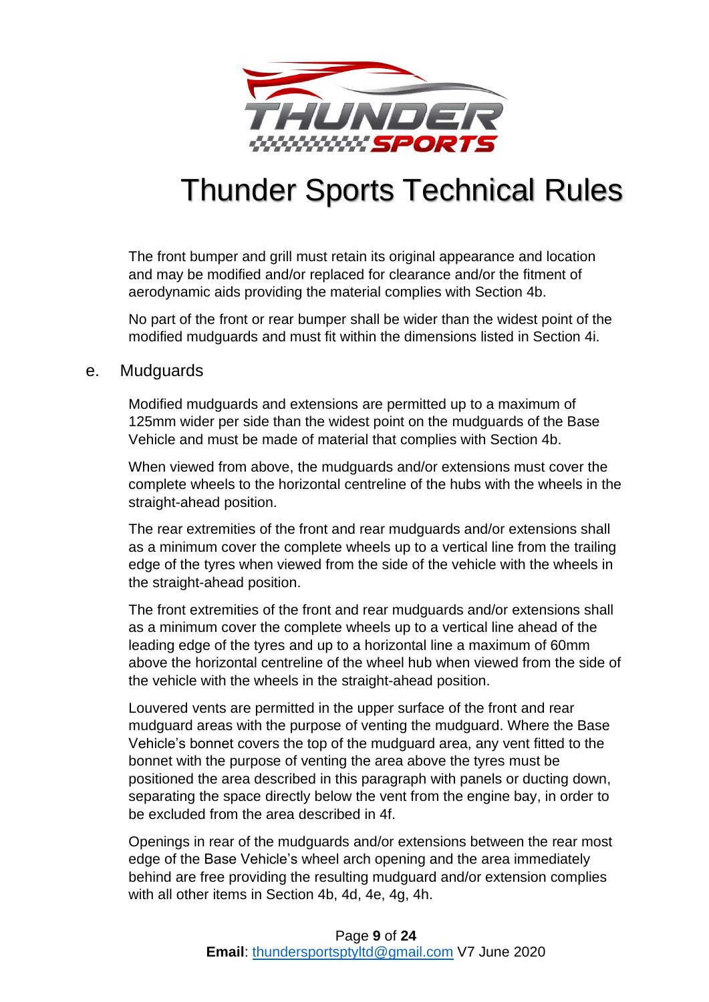

The front bumper and grill must retain its original appearance and location and may be modified and/or replaced for clearance and/or the fitment of aerodynamic aids providing the material complies with Section [4b.](#page-7-0)

No part of the front or rear bumper shall be wider than the widest point of the modified mudguards and must fit within the dimensions listed in Section [4i.](#page-10-1)

### <span id="page-8-0"></span>e. Mudguards

Modified mudguards and extensions are permitted up to a maximum of 125mm wider per side than the widest point on the mudguards of the Base Vehicle and must be made of material that complies with Section [4b.](#page-7-0)

When viewed from above, the mudguards and/or extensions must cover the complete wheels to the horizontal centreline of the hubs with the wheels in the straight-ahead position.

The rear extremities of the front and rear mudguards and/or extensions shall as a minimum cover the complete wheels up to a vertical line from the trailing edge of the tyres when viewed from the side of the vehicle with the wheels in the straight-ahead position.

The front extremities of the front and rear mudguards and/or extensions shall as a minimum cover the complete wheels up to a vertical line ahead of the leading edge of the tyres and up to a horizontal line a maximum of 60mm above the horizontal centreline of the wheel hub when viewed from the side of the vehicle with the wheels in the straight-ahead position.

Louvered vents are permitted in the upper surface of the front and rear mudguard areas with the purpose of venting the mudguard. Where the Base Vehicle's bonnet covers the top of the mudguard area, any vent fitted to the bonnet with the purpose of venting the area above the tyres must be positioned the area described in this paragraph with panels or ducting down, separating the space directly below the vent from the engine bay, in order to be excluded from the area described in 4f.

Openings in rear of the mudguards and/or extensions between the rear most edge of the Base Vehicle's wheel arch opening and the area immediately behind are free providing the resulting mudguard and/or extension complies with all other items in Section [4b,](#page-7-0) [4d,](#page-7-2) [4e,](#page-8-0) [4g,](#page-9-1) [4h.](#page-10-0)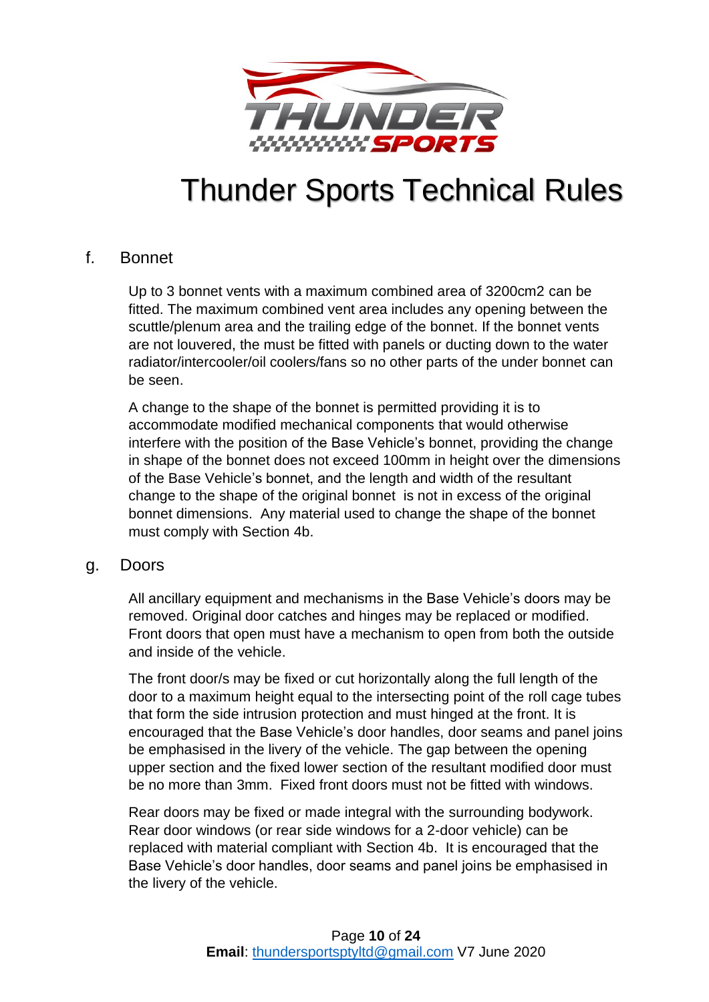

### <span id="page-9-0"></span>f. Bonnet

Up to 3 bonnet vents with a maximum combined area of 3200cm2 can be fitted. The maximum combined vent area includes any opening between the scuttle/plenum area and the trailing edge of the bonnet. If the bonnet vents are not louvered, the must be fitted with panels or ducting down to the water radiator/intercooler/oil coolers/fans so no other parts of the under bonnet can be seen.

A change to the shape of the bonnet is permitted providing it is to accommodate modified mechanical components that would otherwise interfere with the position of the Base Vehicle's bonnet, providing the change in shape of the bonnet does not exceed 100mm in height over the dimensions of the Base Vehicle's bonnet, and the length and width of the resultant change to the shape of the original bonnet is not in excess of the original bonnet dimensions. Any material used to change the shape of the bonnet must comply with Section [4b.](#page-7-0)

### <span id="page-9-1"></span>g. Doors

All ancillary equipment and mechanisms in the Base Vehicle's doors may be removed. Original door catches and hinges may be replaced or modified. Front doors that open must have a mechanism to open from both the outside and inside of the vehicle.

The front door/s may be fixed or cut horizontally along the full length of the door to a maximum height equal to the intersecting point of the roll cage tubes that form the side intrusion protection and must hinged at the front. It is encouraged that the Base Vehicle's door handles, door seams and panel joins be emphasised in the livery of the vehicle. The gap between the opening upper section and the fixed lower section of the resultant modified door must be no more than 3mm. Fixed front doors must not be fitted with windows.

Rear doors may be fixed or made integral with the surrounding bodywork. Rear door windows (or rear side windows for a 2-door vehicle) can be replaced with material compliant with Section [4b.](#page-7-0) It is encouraged that the Base Vehicle's door handles, door seams and panel joins be emphasised in the livery of the vehicle.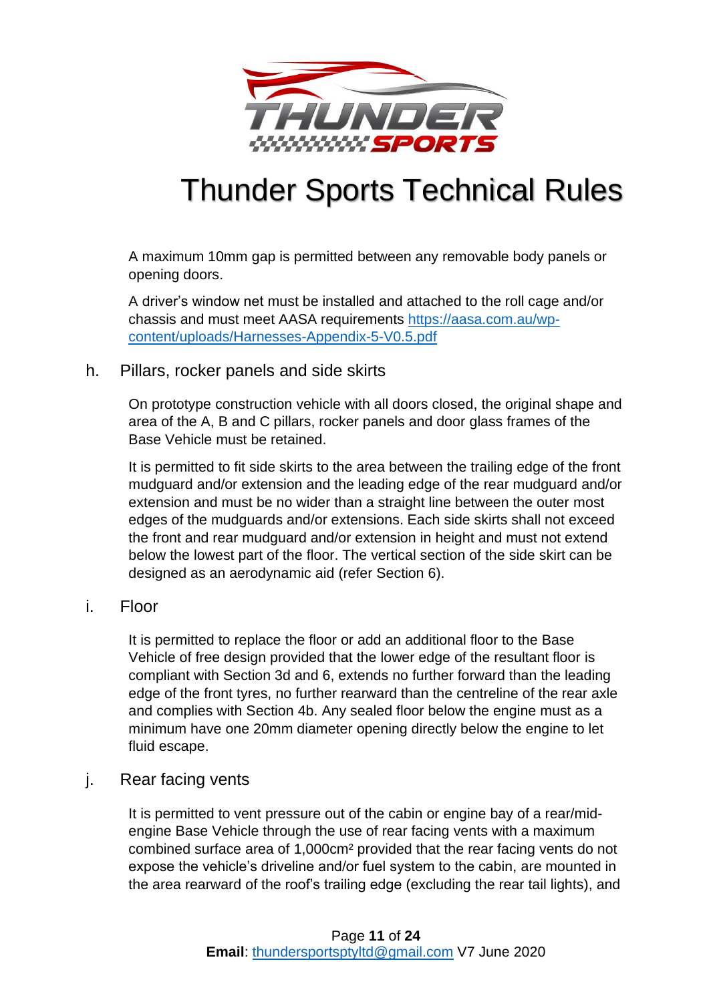

A maximum 10mm gap is permitted between any removable body panels or opening doors.

A driver's window net must be installed and attached to the roll cage and/or chassis and must meet AASA requirements [https://aasa.com.au/wp](https://aasa.com.au/wp-content/uploads/Harnesses-Appendix-5-V0.5.pdf)[content/uploads/Harnesses-Appendix-5-V0.5.pdf](https://aasa.com.au/wp-content/uploads/Harnesses-Appendix-5-V0.5.pdf)

### <span id="page-10-0"></span>h. Pillars, rocker panels and side skirts

On prototype construction vehicle with all doors closed, the original shape and area of the A, B and C pillars, rocker panels and door glass frames of the Base Vehicle must be retained.

It is permitted to fit side skirts to the area between the trailing edge of the front mudguard and/or extension and the leading edge of the rear mudguard and/or extension and must be no wider than a straight line between the outer most edges of the mudguards and/or extensions. Each side skirts shall not exceed the front and rear mudguard and/or extension in height and must not extend below the lowest part of the floor. The vertical section of the side skirt can be designed as an aerodynamic aid (refer Section [6\)](#page-11-1).

### <span id="page-10-1"></span>i. Floor

It is permitted to replace the floor or add an additional floor to the Base Vehicle of free design provided that the lower edge of the resultant floor is compliant with Section 3d and 6, extends no further forward than the leading edge of the front tyres, no further rearward than the centreline of the rear axle and complies with Section [4b.](#page-7-0) Any sealed floor below the engine must as a minimum have one 20mm diameter opening directly below the engine to let fluid escape.

## <span id="page-10-2"></span>j. Rear facing vents

It is permitted to vent pressure out of the cabin or engine bay of a rear/midengine Base Vehicle through the use of rear facing vents with a maximum combined surface area of 1,000cm² provided that the rear facing vents do not expose the vehicle's driveline and/or fuel system to the cabin, are mounted in the area rearward of the roof's trailing edge (excluding the rear tail lights), and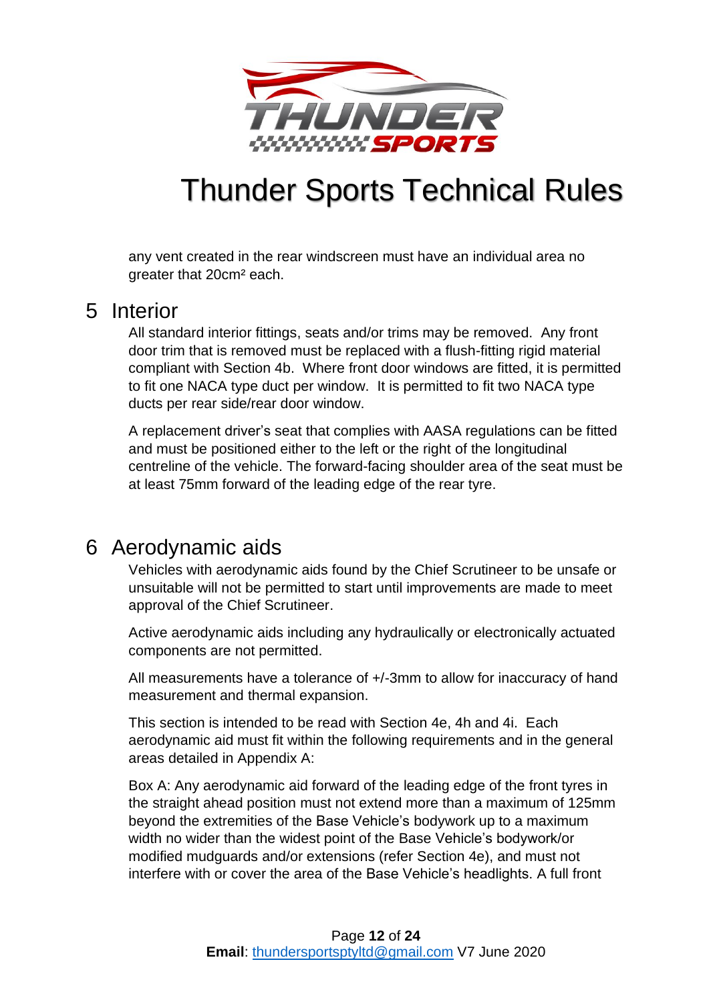

any vent created in the rear windscreen must have an individual area no greater that 20cm² each.

## <span id="page-11-0"></span>5 Interior

All standard interior fittings, seats and/or trims may be removed. Any front door trim that is removed must be replaced with a flush-fitting rigid material compliant with Section [4b.](#page-7-0) Where front door windows are fitted, it is permitted to fit one NACA type duct per window. It is permitted to fit two NACA type ducts per rear side/rear door window.

A replacement driver's seat that complies with AASA regulations can be fitted and must be positioned either to the left or the right of the longitudinal centreline of the vehicle. The forward-facing shoulder area of the seat must be at least 75mm forward of the leading edge of the rear tyre.

## <span id="page-11-1"></span>6 Aerodynamic aids

Vehicles with aerodynamic aids found by the Chief Scrutineer to be unsafe or unsuitable will not be permitted to start until improvements are made to meet approval of the Chief Scrutineer.

Active aerodynamic aids including any hydraulically or electronically actuated components are not permitted.

All measurements have a tolerance of +/-3mm to allow for inaccuracy of hand measurement and thermal expansion.

This section is intended to be read with Section 4e, 4h and 4i. Each aerodynamic aid must fit within the following requirements and in the general areas detailed in Appendix A:

Box A: Any aerodynamic aid forward of the leading edge of the front tyres in the straight ahead position must not extend more than a maximum of 125mm beyond the extremities of the Base Vehicle's bodywork up to a maximum width no wider than the widest point of the Base Vehicle's bodywork/or modified mudguards and/or extensions (refer Section [4e\)](#page-8-0), and must not interfere with or cover the area of the Base Vehicle's headlights. A full front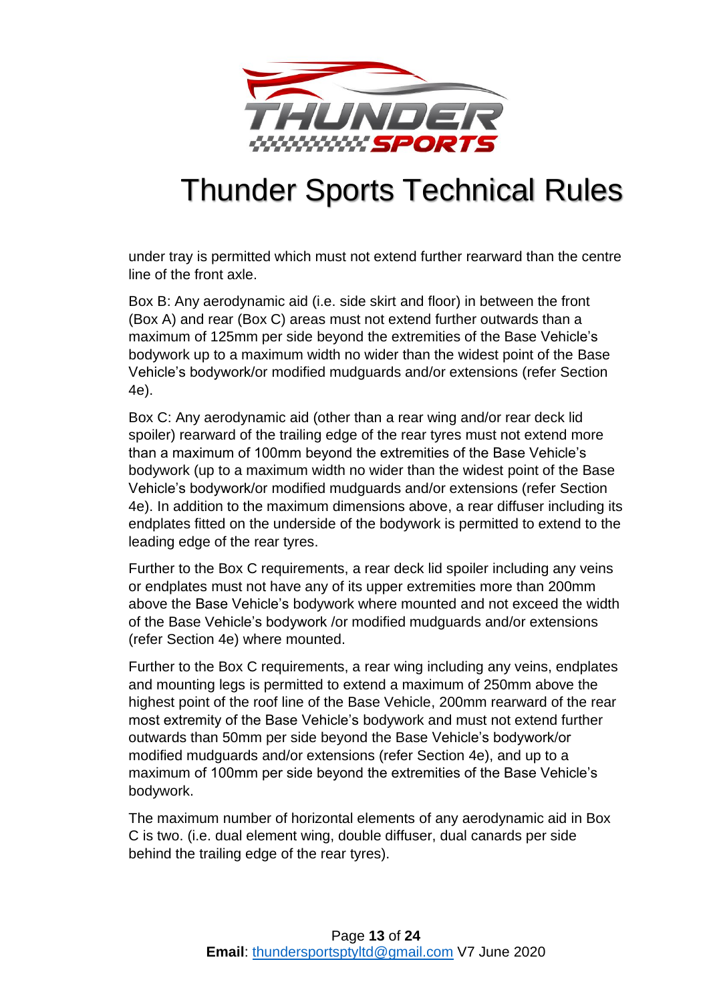

under tray is permitted which must not extend further rearward than the centre line of the front axle.

Box B: Any aerodynamic aid (i.e. side skirt and floor) in between the front (Box A) and rear (Box C) areas must not extend further outwards than a maximum of 125mm per side beyond the extremities of the Base Vehicle's bodywork up to a maximum width no wider than the widest point of the Base Vehicle's bodywork/or modified mudguards and/or extensions (refer Section [4e\)](#page-8-0).

Box C: Any aerodynamic aid (other than a rear wing and/or rear deck lid spoiler) rearward of the trailing edge of the rear tyres must not extend more than a maximum of 100mm beyond the extremities of the Base Vehicle's bodywork (up to a maximum width no wider than the widest point of the Base Vehicle's bodywork/or modified mudguards and/or extensions (refer Section [4e\)](#page-8-0). In addition to the maximum dimensions above, a rear diffuser including its endplates fitted on the underside of the bodywork is permitted to extend to the leading edge of the rear tyres.

Further to the Box C requirements, a rear deck lid spoiler including any veins or endplates must not have any of its upper extremities more than 200mm above the Base Vehicle's bodywork where mounted and not exceed the width of the Base Vehicle's bodywork /or modified mudguards and/or extensions (refer Section [4e\)](#page-8-0) where mounted.

Further to the Box C requirements, a rear wing including any veins, endplates and mounting legs is permitted to extend a maximum of 250mm above the highest point of the roof line of the Base Vehicle, 200mm rearward of the rear most extremity of the Base Vehicle's bodywork and must not extend further outwards than 50mm per side beyond the Base Vehicle's bodywork/or modified mudguards and/or extensions (refer Section [4e\)](#page-8-0), and up to a maximum of 100mm per side beyond the extremities of the Base Vehicle's bodywork.

The maximum number of horizontal elements of any aerodynamic aid in Box C is two. (i.e. dual element wing, double diffuser, dual canards per side behind the trailing edge of the rear tyres).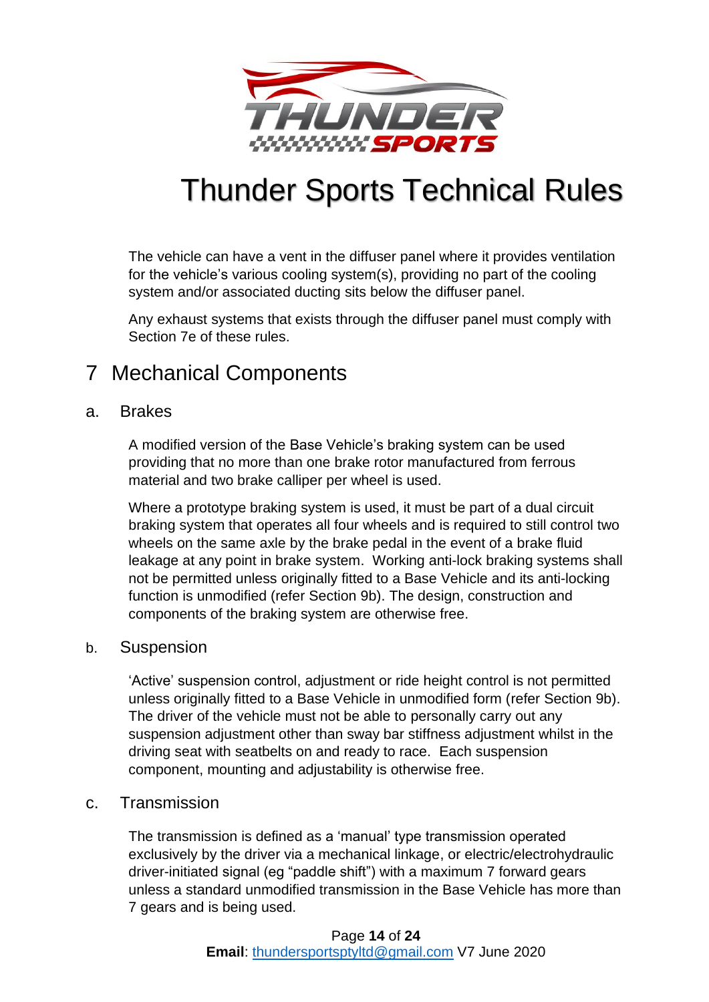

The vehicle can have a vent in the diffuser panel where it provides ventilation for the vehicle's various cooling system(s), providing no part of the cooling system and/or associated ducting sits below the diffuser panel.

Any exhaust systems that exists through the diffuser panel must comply with Section [7e](#page-17-0) of these rules.

## <span id="page-13-0"></span>7 Mechanical Components

### <span id="page-13-1"></span>a. Brakes

A modified version of the Base Vehicle's braking system can be used providing that no more than one brake rotor manufactured from ferrous material and two brake calliper per wheel is used.

Where a prototype braking system is used, it must be part of a dual circuit braking system that operates all four wheels and is required to still control two wheels on the same axle by the brake pedal in the event of a brake fluid leakage at any point in brake system. Working anti-lock braking systems shall not be permitted unless originally fitted to a Base Vehicle and its anti-locking function is unmodified (refer Section [9b\)](#page-18-2). The design, construction and components of the braking system are otherwise free.

### <span id="page-13-2"></span>b. Suspension

'Active' suspension control, adjustment or ride height control is not permitted unless originally fitted to a Base Vehicle in unmodified form (refer Section [9b\)](#page-18-2). The driver of the vehicle must not be able to personally carry out any suspension adjustment other than sway bar stiffness adjustment whilst in the driving seat with seatbelts on and ready to race. Each suspension component, mounting and adjustability is otherwise free.

### <span id="page-13-3"></span>c. Transmission

The transmission is defined as a 'manual' type transmission operated exclusively by the driver via a mechanical linkage, or electric/electrohydraulic driver-initiated signal (eg "paddle shift") with a maximum 7 forward gears unless a standard unmodified transmission in the Base Vehicle has more than 7 gears and is being used.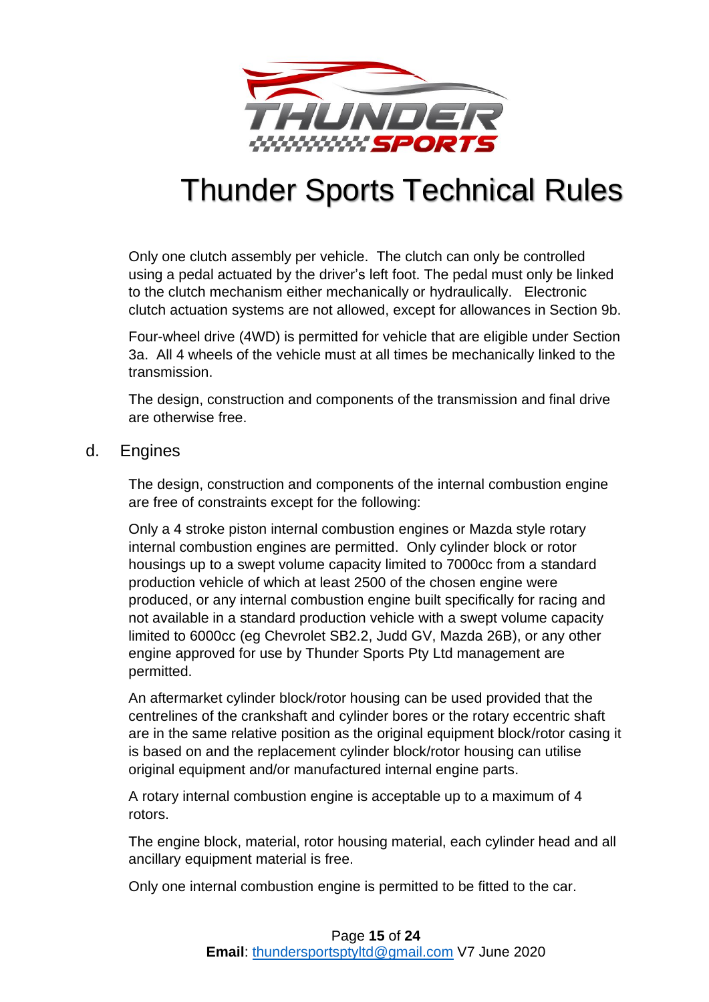

Only one clutch assembly per vehicle. The clutch can only be controlled using a pedal actuated by the driver's left foot. The pedal must only be linked to the clutch mechanism either mechanically or hydraulically. Electronic clutch actuation systems are not allowed, except for allowances in Section [9b.](#page-18-2)

Four-wheel drive (4WD) is permitted for vehicle that are eligible under Section [3a.](#page-3-4) All 4 wheels of the vehicle must at all times be mechanically linked to the transmission.

The design, construction and components of the transmission and final drive are otherwise free.

### <span id="page-14-0"></span>d. Engines

The design, construction and components of the internal combustion engine are free of constraints except for the following:

Only a 4 stroke piston internal combustion engines or Mazda style rotary internal combustion engines are permitted. Only cylinder block or rotor housings up to a swept volume capacity limited to 7000cc from a standard production vehicle of which at least 2500 of the chosen engine were produced, or any internal combustion engine built specifically for racing and not available in a standard production vehicle with a swept volume capacity limited to 6000cc (eg Chevrolet SB2.2, Judd GV, Mazda 26B), or any other engine approved for use by Thunder Sports Pty Ltd management are permitted.

An aftermarket cylinder block/rotor housing can be used provided that the centrelines of the crankshaft and cylinder bores or the rotary eccentric shaft are in the same relative position as the original equipment block/rotor casing it is based on and the replacement cylinder block/rotor housing can utilise original equipment and/or manufactured internal engine parts.

A rotary internal combustion engine is acceptable up to a maximum of 4 rotors.

The engine block, material, rotor housing material, each cylinder head and all ancillary equipment material is free.

Only one internal combustion engine is permitted to be fitted to the car.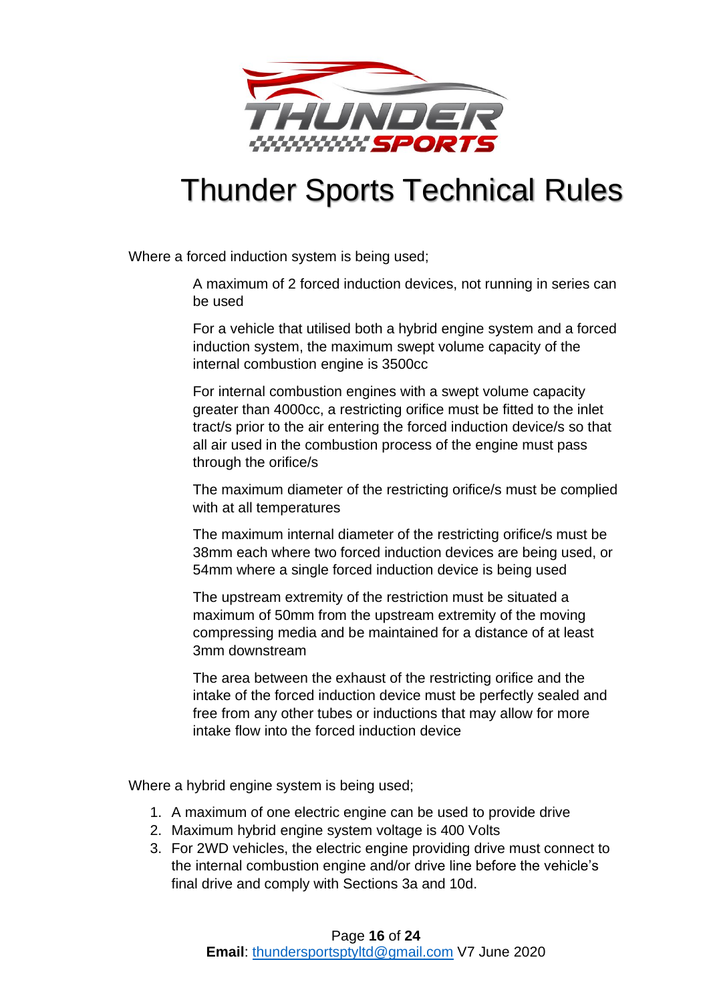

Where a forced induction system is being used;

A maximum of 2 forced induction devices, not running in series can be used

For a vehicle that utilised both a hybrid engine system and a forced induction system, the maximum swept volume capacity of the internal combustion engine is 3500cc

For internal combustion engines with a swept volume capacity greater than 4000cc, a restricting orifice must be fitted to the inlet tract/s prior to the air entering the forced induction device/s so that all air used in the combustion process of the engine must pass through the orifice/s

The maximum diameter of the restricting orifice/s must be complied with at all temperatures

The maximum internal diameter of the restricting orifice/s must be 38mm each where two forced induction devices are being used, or 54mm where a single forced induction device is being used

The upstream extremity of the restriction must be situated a maximum of 50mm from the upstream extremity of the moving compressing media and be maintained for a distance of at least 3mm downstream

The area between the exhaust of the restricting orifice and the intake of the forced induction device must be perfectly sealed and free from any other tubes or inductions that may allow for more intake flow into the forced induction device

Where a hybrid engine system is being used;

- 1. A maximum of one electric engine can be used to provide drive
- 2. Maximum hybrid engine system voltage is 400 Volts
- 3. For 2WD vehicles, the electric engine providing drive must connect to the internal combustion engine and/or drive line before the vehicle's final drive and comply with Sections 3a and 10d.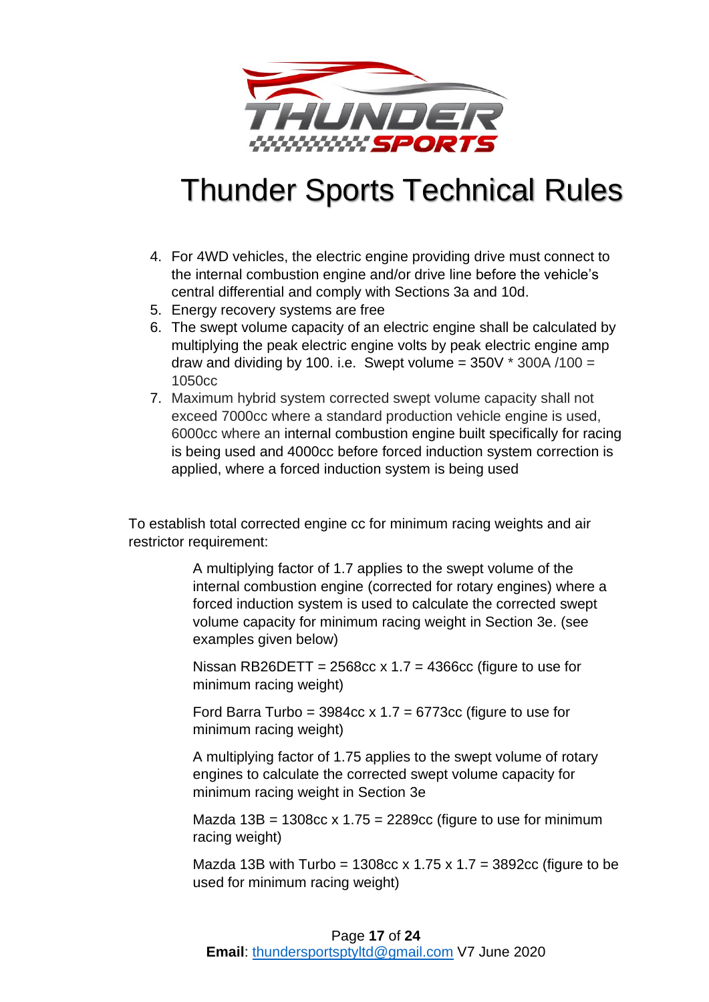

- 4. For 4WD vehicles, the electric engine providing drive must connect to the internal combustion engine and/or drive line before the vehicle's central differential and comply with Sections 3a and 10d.
- 5. Energy recovery systems are free
- 6. The swept volume capacity of an electric engine shall be calculated by multiplying the peak electric engine volts by peak electric engine amp draw and dividing by 100. i.e. Swept volume =  $350V * 300A / 100 =$ 1050cc
- 7. Maximum hybrid system corrected swept volume capacity shall not exceed 7000cc where a standard production vehicle engine is used, 6000cc where an internal combustion engine built specifically for racing is being used and 4000cc before forced induction system correction is applied, where a forced induction system is being used

To establish total corrected engine cc for minimum racing weights and air restrictor requirement:

> A multiplying factor of 1.7 applies to the swept volume of the internal combustion engine (corrected for rotary engines) where a forced induction system is used to calculate the corrected swept volume capacity for minimum racing weight in Section 3e. (see examples given below)

Nissan RB26DETT =  $2568cc \times 1.7 = 4366cc$  (figure to use for minimum racing weight)

Ford Barra Turbo =  $3984cc \times 1.7 = 6773cc$  (figure to use for minimum racing weight)

A multiplying factor of 1.75 applies to the swept volume of rotary engines to calculate the corrected swept volume capacity for minimum racing weight in Section 3e

Mazda  $13B = 1308cc \times 1.75 = 2289cc$  (figure to use for minimum racing weight)

Mazda 13B with Turbo = 1308cc x 1.75 x 1.7 = 3892cc (figure to be used for minimum racing weight)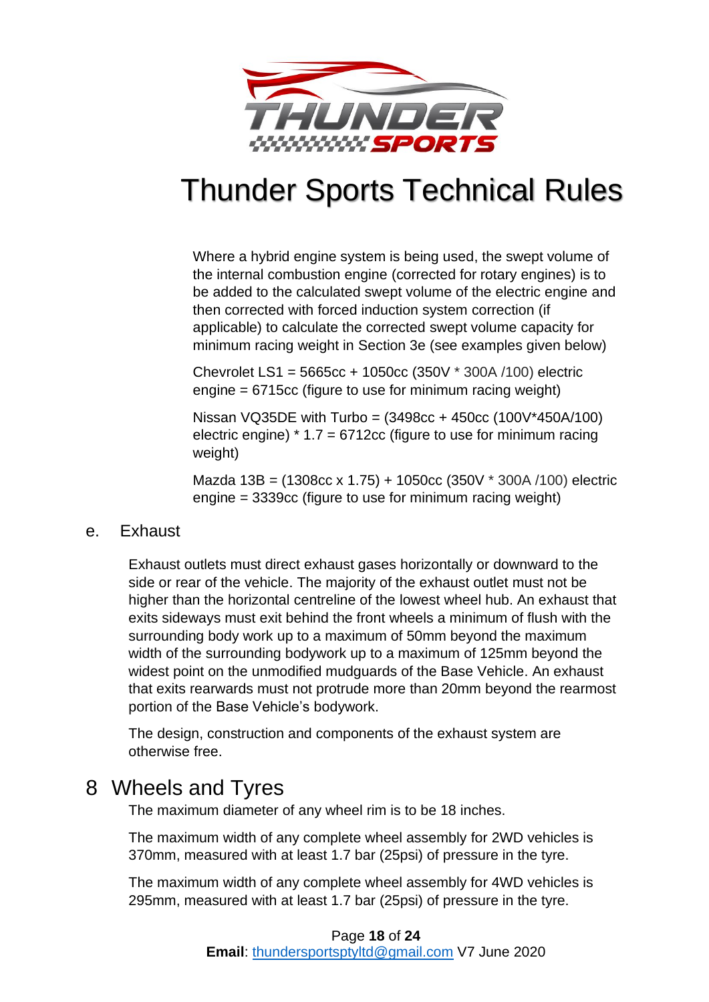

Where a hybrid engine system is being used, the swept volume of the internal combustion engine (corrected for rotary engines) is to be added to the calculated swept volume of the electric engine and then corrected with forced induction system correction (if applicable) to calculate the corrected swept volume capacity for minimum racing weight in Section 3e (see examples given below)

Chevrolet LS1 = 5665cc + 1050cc (350V \* 300A /100) electric engine = 6715cc (figure to use for minimum racing weight)

Nissan VQ35DE with Turbo = (3498cc + 450cc (100V\*450A/100) electric engine)  $*$  1.7 = 6712cc (figure to use for minimum racing weight)

Mazda 13B = (1308cc x 1.75) + 1050cc (350V \* 300A /100) electric engine = 3339cc (figure to use for minimum racing weight)

### <span id="page-17-0"></span>e. Exhaust

Exhaust outlets must direct exhaust gases horizontally or downward to the side or rear of the vehicle. The majority of the exhaust outlet must not be higher than the horizontal centreline of the lowest wheel hub. An exhaust that exits sideways must exit behind the front wheels a minimum of flush with the surrounding body work up to a maximum of 50mm beyond the maximum width of the surrounding bodywork up to a maximum of 125mm beyond the widest point on the unmodified mudguards of the Base Vehicle. An exhaust that exits rearwards must not protrude more than 20mm beyond the rearmost portion of the Base Vehicle's bodywork.

The design, construction and components of the exhaust system are otherwise free.

## <span id="page-17-1"></span>8 Wheels and Tyres

The maximum diameter of any wheel rim is to be 18 inches.

The maximum width of any complete wheel assembly for 2WD vehicles is 370mm, measured with at least 1.7 bar (25psi) of pressure in the tyre.

The maximum width of any complete wheel assembly for 4WD vehicles is 295mm, measured with at least 1.7 bar (25psi) of pressure in the tyre.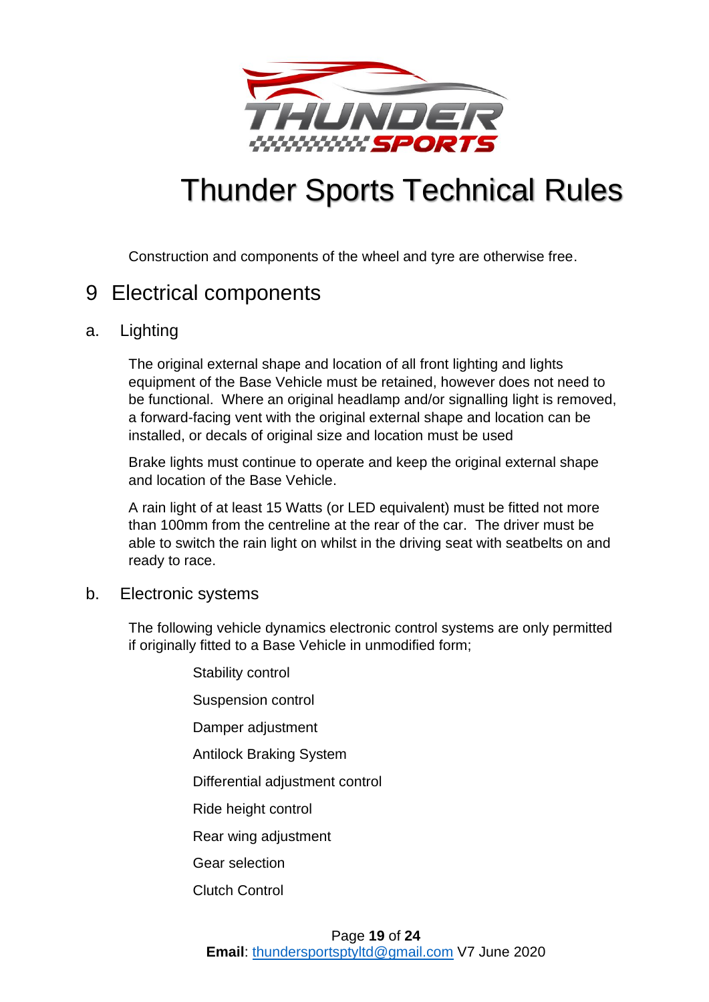

Construction and components of the wheel and tyre are otherwise free.

## <span id="page-18-0"></span>9 Electrical components

## <span id="page-18-1"></span>a. Lighting

The original external shape and location of all front lighting and lights equipment of the Base Vehicle must be retained, however does not need to be functional. Where an original headlamp and/or signalling light is removed, a forward-facing vent with the original external shape and location can be installed, or decals of original size and location must be used

Brake lights must continue to operate and keep the original external shape and location of the Base Vehicle.

A rain light of at least 15 Watts (or LED equivalent) must be fitted not more than 100mm from the centreline at the rear of the car. The driver must be able to switch the rain light on whilst in the driving seat with seatbelts on and ready to race.

## <span id="page-18-2"></span>b. Electronic systems

The following vehicle dynamics electronic control systems are only permitted if originally fitted to a Base Vehicle in unmodified form;

> Stability control Suspension control Damper adjustment Antilock Braking System Differential adjustment control Ride height control Rear wing adjustment Gear selection Clutch Control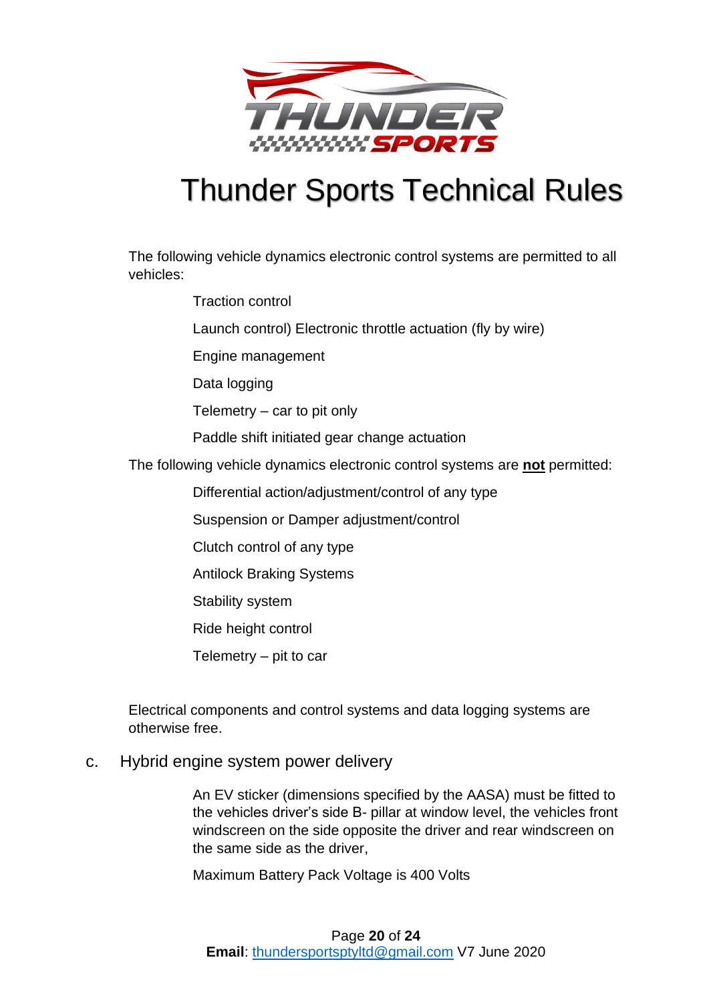

The following vehicle dynamics electronic control systems are permitted to all vehicles:

- Traction control
- Launch control) Electronic throttle actuation (fly by wire)
- Engine management
- Data logging
- Telemetry car to pit only
- Paddle shift initiated gear change actuation
- The following vehicle dynamics electronic control systems are **not** permitted:
	- Differential action/adjustment/control of any type
	- Suspension or Damper adjustment/control
	- Clutch control of any type
	- Antilock Braking Systems
	- Stability system
	- Ride height control
	- Telemetry pit to car

Electrical components and control systems and data logging systems are otherwise free.

<span id="page-19-0"></span>c. Hybrid engine system power delivery

An EV sticker (dimensions specified by the AASA) must be fitted to the vehicles driver's side B- pillar at window level, the vehicles front windscreen on the side opposite the driver and rear windscreen on the same side as the driver,

Maximum Battery Pack Voltage is 400 Volts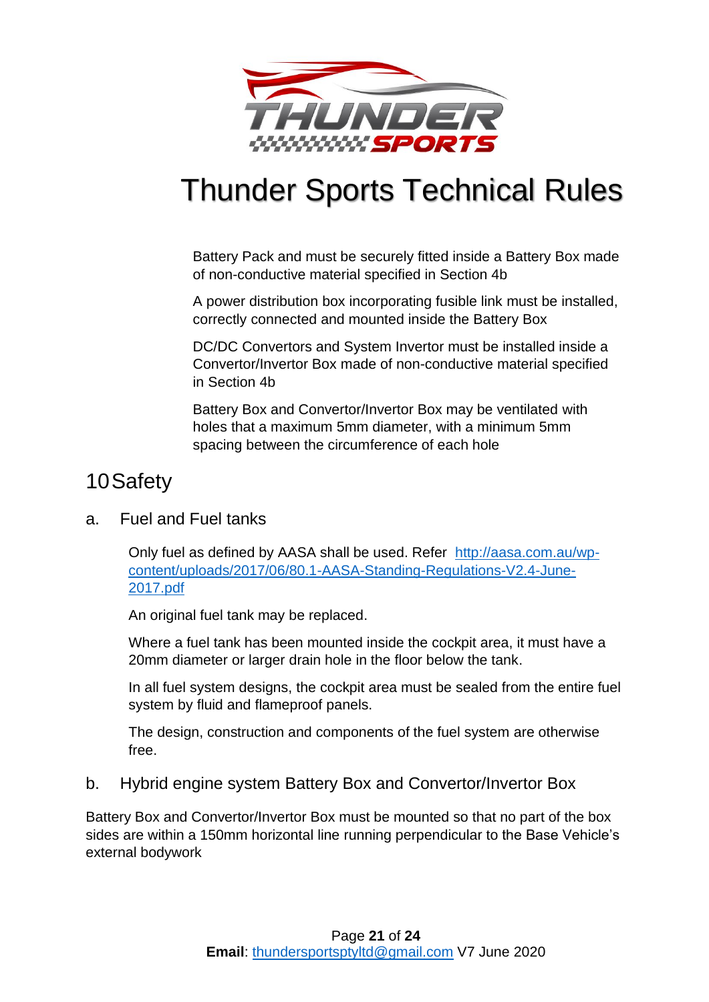

Battery Pack and must be securely fitted inside a Battery Box made of non-conductive material specified in Section 4b

A power distribution box incorporating fusible link must be installed, correctly connected and mounted inside the Battery Box

DC/DC Convertors and System Invertor must be installed inside a Convertor/Invertor Box made of non-conductive material specified in Section 4b

Battery Box and Convertor/Invertor Box may be ventilated with holes that a maximum 5mm diameter, with a minimum 5mm spacing between the circumference of each hole

## <span id="page-20-0"></span>10Safety

## <span id="page-20-1"></span>a. Fuel and Fuel tanks

Only fuel as defined by AASA shall be used. Refer [http://aasa.com.au/wp](http://aasa.com.au/wp-content/uploads/2017/06/80.1-AASA-Standing-Regulations-V2.4-June-2017.pdf)[content/uploads/2017/06/80.1-AASA-Standing-Regulations-V2.4-June-](http://aasa.com.au/wp-content/uploads/2017/06/80.1-AASA-Standing-Regulations-V2.4-June-2017.pdf)[2017.pdf](http://aasa.com.au/wp-content/uploads/2017/06/80.1-AASA-Standing-Regulations-V2.4-June-2017.pdf)

An original fuel tank may be replaced.

Where a fuel tank has been mounted inside the cockpit area, it must have a 20mm diameter or larger drain hole in the floor below the tank.

In all fuel system designs, the cockpit area must be sealed from the entire fuel system by fluid and flameproof panels.

The design, construction and components of the fuel system are otherwise free.

## <span id="page-20-2"></span>b. Hybrid engine system Battery Box and Convertor/Invertor Box

Battery Box and Convertor/Invertor Box must be mounted so that no part of the box sides are within a 150mm horizontal line running perpendicular to the Base Vehicle's external bodywork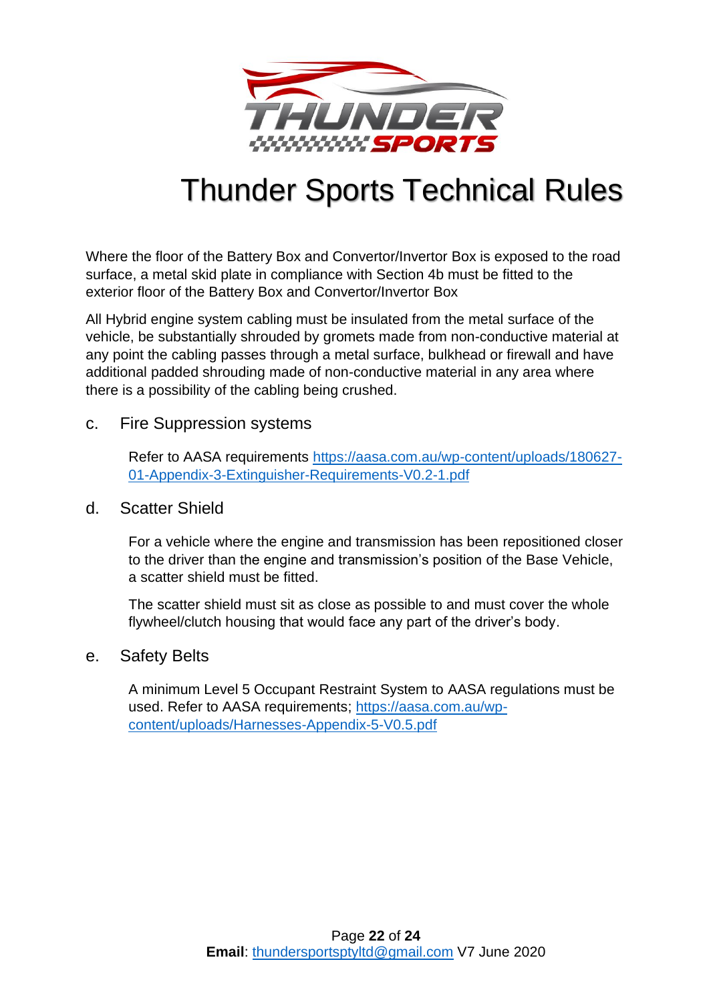

Where the floor of the Battery Box and Convertor/Invertor Box is exposed to the road surface, a metal skid plate in compliance with Section 4b must be fitted to the exterior floor of the Battery Box and Convertor/Invertor Box

All Hybrid engine system cabling must be insulated from the metal surface of the vehicle, be substantially shrouded by gromets made from non-conductive material at any point the cabling passes through a metal surface, bulkhead or firewall and have additional padded shrouding made of non-conductive material in any area where there is a possibility of the cabling being crushed.

### <span id="page-21-0"></span>c. Fire Suppression systems

Refer to AASA requirements [https://aasa.com.au/wp-content/uploads/180627-](https://aasa.com.au/wp-content/uploads/180627-01-Appendix-3-Extinguisher-Requirements-V0.2-1.pdf) [01-Appendix-3-Extinguisher-Requirements-V0.2-1.pdf](https://aasa.com.au/wp-content/uploads/180627-01-Appendix-3-Extinguisher-Requirements-V0.2-1.pdf)

### <span id="page-21-1"></span>d. Scatter Shield

For a vehicle where the engine and transmission has been repositioned closer to the driver than the engine and transmission's position of the Base Vehicle, a scatter shield must be fitted.

The scatter shield must sit as close as possible to and must cover the whole flywheel/clutch housing that would face any part of the driver's body.

### <span id="page-21-2"></span>e. Safety Belts

A minimum Level 5 Occupant Restraint System to AASA regulations must be used. Refer to AASA requirements; [https://aasa.com.au/wp](https://aasa.com.au/wp-content/uploads/Harnesses-Appendix-5-V0.5.pdf)[content/uploads/Harnesses-Appendix-5-V0.5.pdf](https://aasa.com.au/wp-content/uploads/Harnesses-Appendix-5-V0.5.pdf)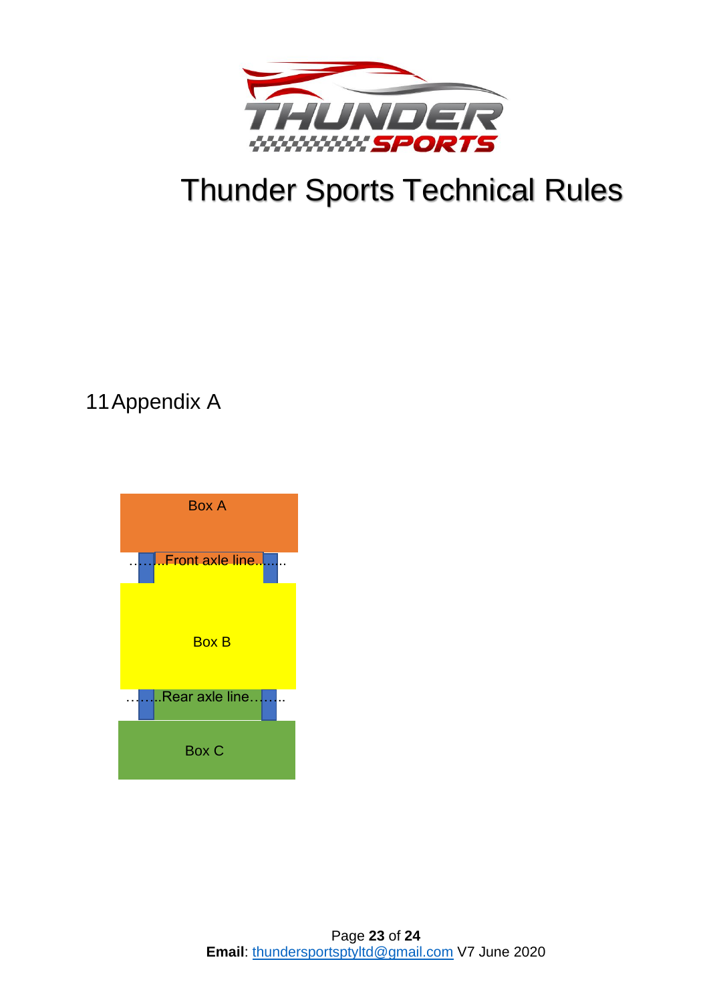

## <span id="page-22-0"></span>11Appendix A